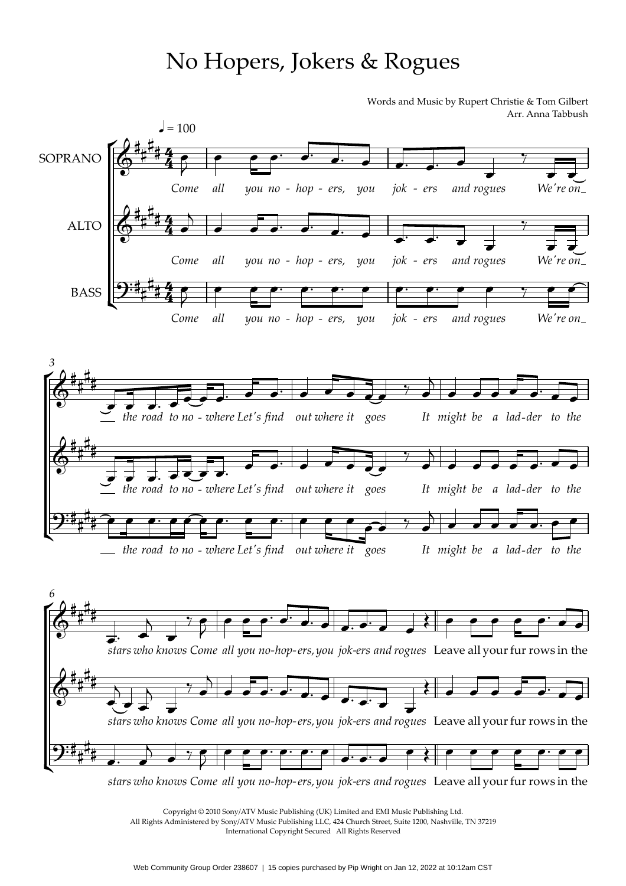## No Hopers, Jokers & Rogues

Words and Music by Rupert Christie & Tom Gilbert Arr. Anna Tabbush



Copyright © 2010 Sony/ATV Music Publishing (UK) Limited and EMI Music Publishing Ltd. All Rights Administered by Sony/ATV Music Publishing LLC, 424 Church Street, Suite 1200, Nashville, TN 37219 International Copyright Secured All Rights Reserved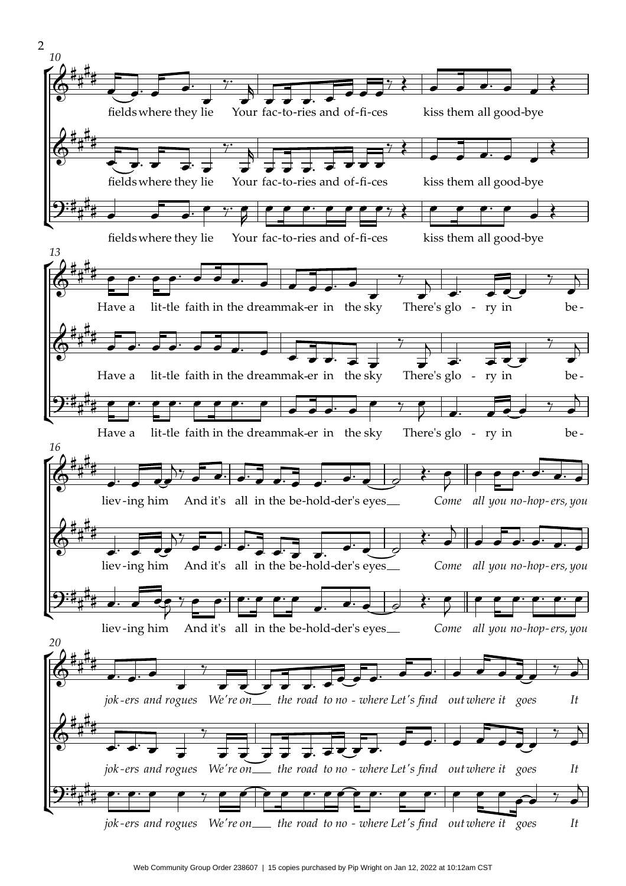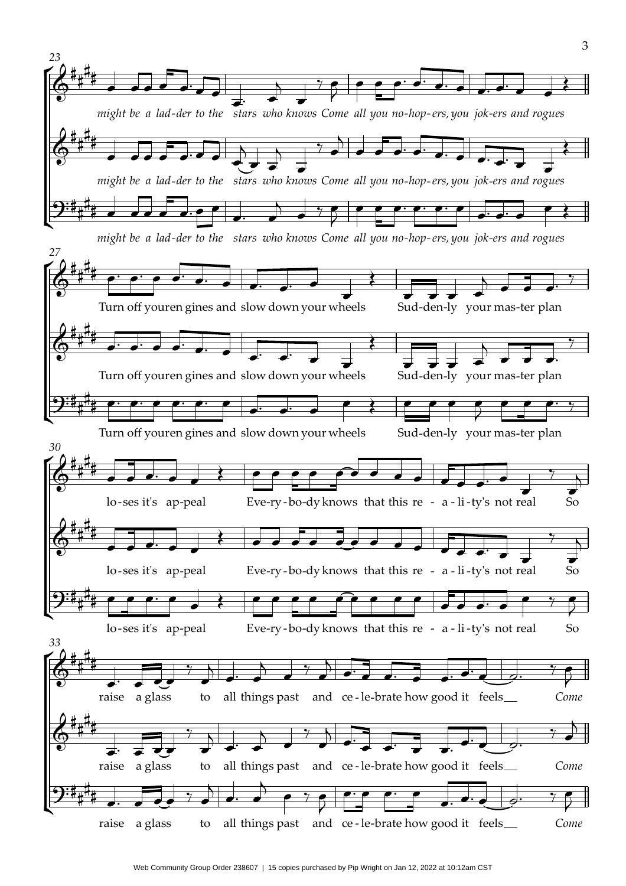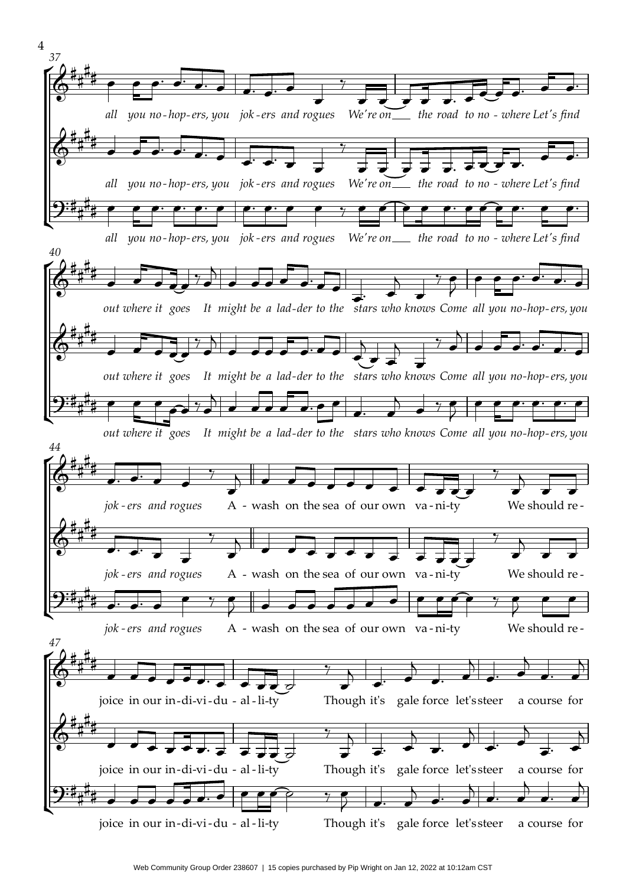